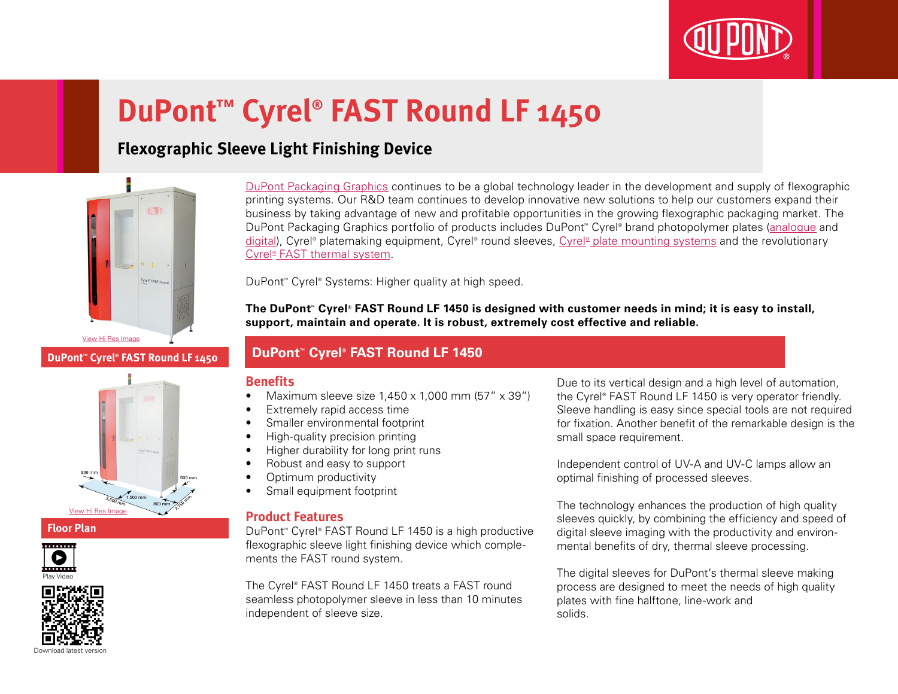

# **DuPont™ Cyrel® FAST Round LF 1450**

## **Flexographic Sleeve Light Finishing Device**



#### **DuPont™ Cyrel® FAST Round LF 1450**



#### **Floor Plan**





[DuPont Packaging Graphics](http://www2.dupont.com/Packaging_Graphics/en_AU/index.html) continues to be a global technology leader in the development and supply of flexographic printing systems. Our R&D team continues to develop innovative new solutions to help our customers expand their business by taking advantage of new and profitable opportunities in the growing flexographic packaging market. The DuPont Packaging Graphics portfolio of products includes DuPont™ Cyrel® brand photopolymer plates ([analogue](http://www2.dupont.com/Packaging_Graphics/en_AU/products/solvent_platemaking/index.html) and [digital\)](http://www2.dupont.com/Packaging_Graphics/en_AU/products/digital_wkflow/digital_workflow.html), Cyrel® platemaking equipment, Cyrel® round sleeves, Cyrel® [plate mounting systems](http://www2.dupont.com/Packaging_Graphics/en_AU/products/mounting_systems/index.html) and the revolutionary Cyrel<sup>®</sup> [FAST thermal system.](http://www2.dupont.com/Packaging_Graphics/en_AU/products/thermal_platemaking/index.html)

DuPont™ Cyrel® Systems: Higher quality at high speed.

**The DuPont™ Cyrel® FAST Round LF 1450 is designed with customer needs in mind; it is easy to install, support, maintain and operate. It is robust, extremely cost effective and reliable.**

### **DuPont™ Cyrel® FAST Round LF 1450**

#### **Benefits**

- Maximum sleeve size  $1.450 \times 1.000$  mm  $(57'' \times 39'')$
- Extremely rapid access time
- Smaller environmental footprint
- High-quality precision printing
- Higher durability for long print runs
- Robust and easy to support
- Optimum productivity
- Small equipment footprint

#### **Product Features**

DuPont™ Cyrel® FAST Round LF 1450 is a high productive flexographic sleeve light finishing device which complements the FAST round system.

The Cyrel® FAST Round LF 1450 treats a FAST round seamless photopolymer sleeve in less than 10 minutes independent of sleeve size.

Due to its vertical design and a high level of automation, the Cyrel® FAST Round LF 1450 is very operator friendly. Sleeve handling is easy since special tools are not required for fixation. Another benefit of the remarkable design is the small space requirement.

Independent control of UV-A and UV-C lamps allow an optimal finishing of processed sleeves.

The technology enhances the production of high quality sleeves quickly, by combining the efficiency and speed of digital sleeve imaging with the productivity and environmental benefits of dry, thermal sleeve processing.

The digital sleeves for DuPont's thermal sleeve making process are designed to meet the needs of high quality plates with fine halftone, line-work and solids.

Download latest version